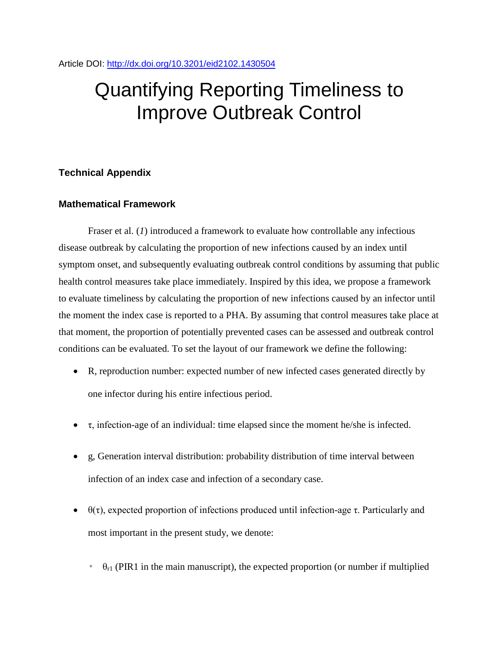# Quantifying Reporting Timeliness to Improve Outbreak Control

# **Technical Appendix**

## **Mathematical Framework**

Fraser et al. (*1*) introduced a framework to evaluate how controllable any infectious disease outbreak by calculating the proportion of new infections caused by an index until symptom onset, and subsequently evaluating outbreak control conditions by assuming that public health control measures take place immediately. Inspired by this idea, we propose a framework to evaluate timeliness by calculating the proportion of new infections caused by an infector until the moment the index case is reported to a PHA. By assuming that control measures take place at that moment, the proportion of potentially prevented cases can be assessed and outbreak control conditions can be evaluated. To set the layout of our framework we define the following:

- R, reproduction number: expected number of new infected cases generated directly by one infector during his entire infectious period.
- $\bullet$   $\tau$ , infection-age of an individual: time elapsed since the moment he/she is infected.
- g, Generation interval distribution: probability distribution of time interval between infection of an index case and infection of a secondary case.
- $θ(τ)$ , expected proportion of infections produced until infection-age τ. Particularly and most important in the present study, we denote:
	- $\theta_{r1}$  (PIR1 in the main manuscript), the expected proportion (or number if multiplied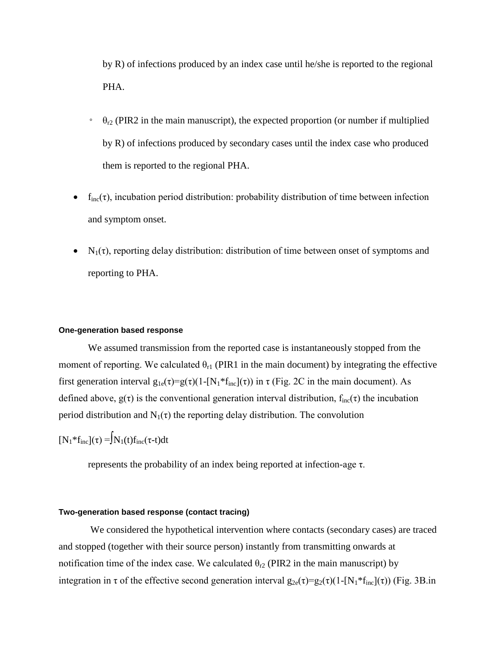by R) of infections produced by an index case until he/she is reported to the regional PHA.

- $\theta_{r2}$  (PIR2 in the main manuscript), the expected proportion (or number if multiplied by R) of infections produced by secondary cases until the index case who produced them is reported to the regional PHA.
- $f_{inc}(\tau)$ , incubation period distribution: probability distribution of time between infection and symptom onset.
- $N_1(\tau)$ , reporting delay distribution: distribution of time between onset of symptoms and reporting to PHA.

#### **One-generation based response**

We assumed transmission from the reported case is instantaneously stopped from the moment of reporting. We calculated  $\theta_{r1}$  (PIR1 in the main document) by integrating the effective first generation interval  $g_{1e}(\tau)=g(\tau)(1-[N_1* f_{inc}](\tau))$  in  $\tau$  (Fig. 2C in the main document). As defined above,  $g(\tau)$  is the conventional generation interval distribution,  $f_{inc}(\tau)$  the incubation period distribution and  $N_1(\tau)$  the reporting delay distribution. The convolution

$$
[\mathbf{N}_1^* \mathbf{f}_{\text{inc}}](\tau) = \mathbf{N}_1(t) \mathbf{f}_{\text{inc}}(\tau \text{-} t) \mathrm{d} t
$$

represents the probability of an index being reported at infection-age τ.

## **Two-generation based response (contact tracing)**

We considered the hypothetical intervention where contacts (secondary cases) are traced and stopped (together with their source person) instantly from transmitting onwards at notification time of the index case. We calculated  $\theta_{r2}$  (PIR2 in the main manuscript) by integration in τ of the effective second generation interval  $g_{2e}(\tau)=g_2(\tau)(1-[N_1* f_{inc}](\tau))$  (Fig. 3B.in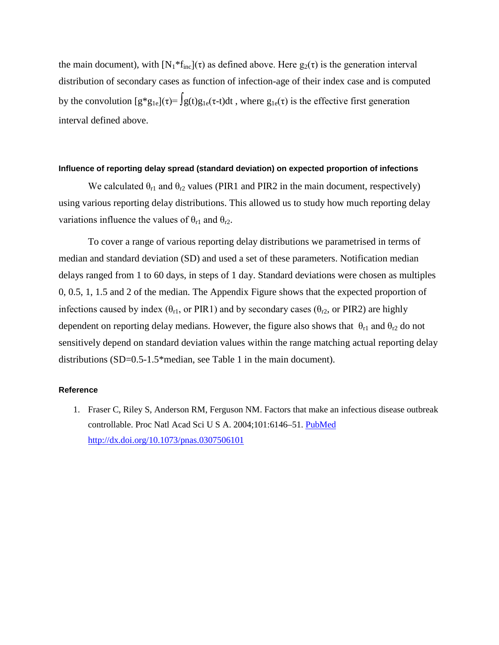the main document), with  $[N_1 * f_{inc}](\tau)$  as defined above. Here  $g_2(\tau)$  is the generation interval distribution of secondary cases as function of infection-age of their index case and is computed by the convolution  $[g^*g_{1e}](\tau) = \int g(t)g_{1e}(\tau-t)dt$ , where  $g_{1e}(\tau)$  is the effective first generation interval defined above.

#### **Influence of reporting delay spread (standard deviation) on expected proportion of infections**

We calculated  $\theta_{r1}$  and  $\theta_{r2}$  values (PIR1 and PIR2 in the main document, respectively) using various reporting delay distributions. This allowed us to study how much reporting delay variations influence the values of  $\theta_{r1}$  and  $\theta_{r2}$ .

To cover a range of various reporting delay distributions we parametrised in terms of median and standard deviation (SD) and used a set of these parameters. Notification median delays ranged from 1 to 60 days, in steps of 1 day. Standard deviations were chosen as multiples 0, 0.5, 1, 1.5 and 2 of the median. The Appendix Figure shows that the expected proportion of infections caused by index ( $\theta_{r1}$ , or PIR1) and by secondary cases ( $\theta_{r2}$ , or PIR2) are highly dependent on reporting delay medians. However, the figure also shows that  $\theta_{r1}$  and  $\theta_{r2}$  do not sensitively depend on standard deviation values within the range matching actual reporting delay distributions (SD=0.5-1.5\*median, see Table 1 in the main document).

## **Reference**

1. Fraser C, Riley S, Anderson RM, Ferguson NM. Factors that make an infectious disease outbreak controllable. Proc Natl Acad Sci U S A. 2004;101:6146–51. [PubMed](http://www.ncbi.nlm.nih.gov/entrez/query.fcgi?cmd=Retrieve&db=PubMed&list_uids=15071187&dopt=Abstract) <http://dx.doi.org/10.1073/pnas.0307506101>